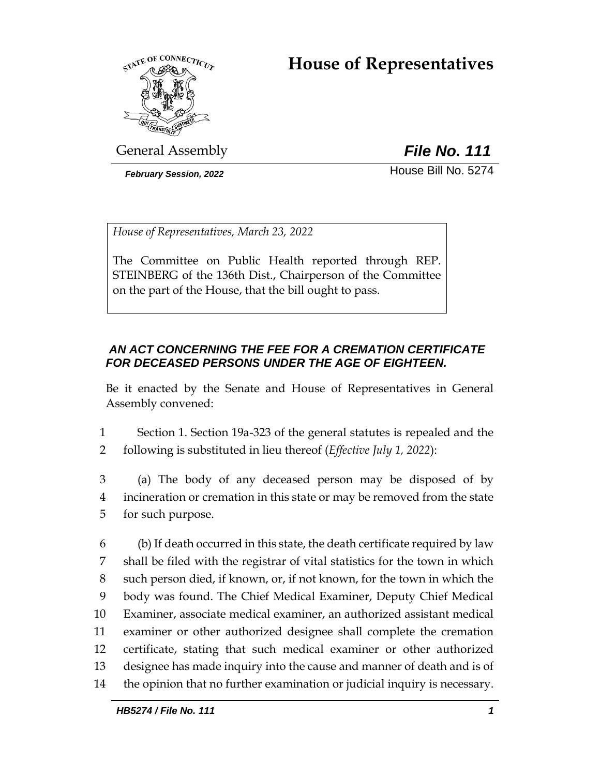# **House of Representatives**



General Assembly *File No. 111*

*February Session, 2022* House Bill No. 5274

*House of Representatives, March 23, 2022*

The Committee on Public Health reported through REP. STEINBERG of the 136th Dist., Chairperson of the Committee on the part of the House, that the bill ought to pass.

# *AN ACT CONCERNING THE FEE FOR A CREMATION CERTIFICATE FOR DECEASED PERSONS UNDER THE AGE OF EIGHTEEN.*

Be it enacted by the Senate and House of Representatives in General Assembly convened:

- 1 Section 1. Section 19a-323 of the general statutes is repealed and the 2 following is substituted in lieu thereof (*Effective July 1, 2022*):
- 3 (a) The body of any deceased person may be disposed of by 4 incineration or cremation in this state or may be removed from the state 5 for such purpose.

 (b) If death occurred in this state, the death certificate required by law shall be filed with the registrar of vital statistics for the town in which such person died, if known, or, if not known, for the town in which the body was found. The Chief Medical Examiner, Deputy Chief Medical Examiner, associate medical examiner, an authorized assistant medical examiner or other authorized designee shall complete the cremation certificate, stating that such medical examiner or other authorized designee has made inquiry into the cause and manner of death and is of the opinion that no further examination or judicial inquiry is necessary.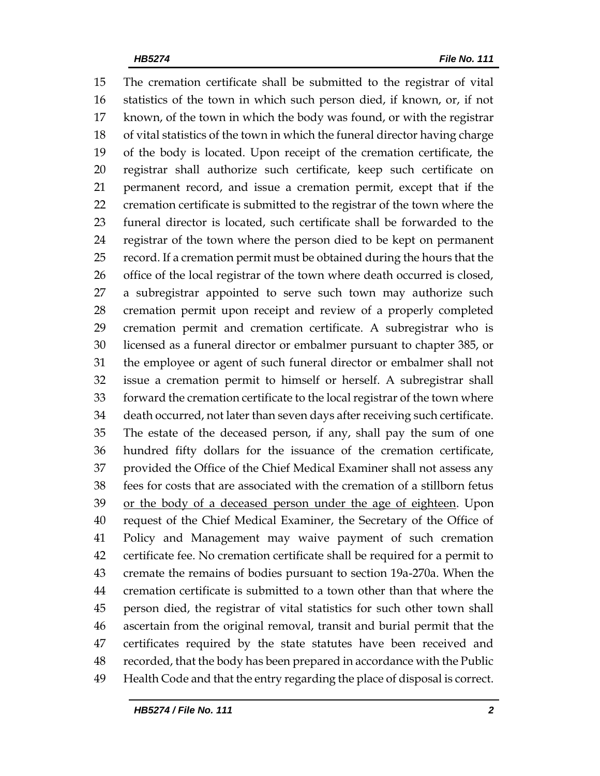The cremation certificate shall be submitted to the registrar of vital statistics of the town in which such person died, if known, or, if not known, of the town in which the body was found, or with the registrar of vital statistics of the town in which the funeral director having charge of the body is located. Upon receipt of the cremation certificate, the registrar shall authorize such certificate, keep such certificate on permanent record, and issue a cremation permit, except that if the cremation certificate is submitted to the registrar of the town where the funeral director is located, such certificate shall be forwarded to the registrar of the town where the person died to be kept on permanent record. If a cremation permit must be obtained during the hours that the office of the local registrar of the town where death occurred is closed, a subregistrar appointed to serve such town may authorize such cremation permit upon receipt and review of a properly completed cremation permit and cremation certificate. A subregistrar who is licensed as a funeral director or embalmer pursuant to chapter 385, or the employee or agent of such funeral director or embalmer shall not issue a cremation permit to himself or herself. A subregistrar shall forward the cremation certificate to the local registrar of the town where death occurred, not later than seven days after receiving such certificate. The estate of the deceased person, if any, shall pay the sum of one hundred fifty dollars for the issuance of the cremation certificate, provided the Office of the Chief Medical Examiner shall not assess any fees for costs that are associated with the cremation of a stillborn fetus or the body of a deceased person under the age of eighteen. Upon request of the Chief Medical Examiner, the Secretary of the Office of Policy and Management may waive payment of such cremation certificate fee. No cremation certificate shall be required for a permit to cremate the remains of bodies pursuant to section 19a-270a. When the cremation certificate is submitted to a town other than that where the person died, the registrar of vital statistics for such other town shall ascertain from the original removal, transit and burial permit that the certificates required by the state statutes have been received and recorded, that the body has been prepared in accordance with the Public Health Code and that the entry regarding the place of disposal is correct.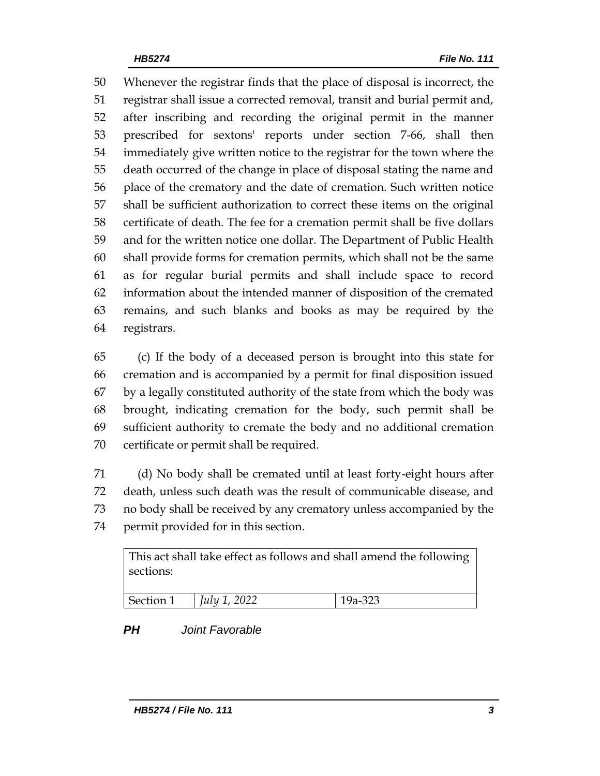Whenever the registrar finds that the place of disposal is incorrect, the registrar shall issue a corrected removal, transit and burial permit and, after inscribing and recording the original permit in the manner prescribed for sextons' reports under section 7-66, shall then immediately give written notice to the registrar for the town where the death occurred of the change in place of disposal stating the name and place of the crematory and the date of cremation. Such written notice shall be sufficient authorization to correct these items on the original certificate of death. The fee for a cremation permit shall be five dollars and for the written notice one dollar. The Department of Public Health shall provide forms for cremation permits, which shall not be the same as for regular burial permits and shall include space to record information about the intended manner of disposition of the cremated remains, and such blanks and books as may be required by the registrars.

 (c) If the body of a deceased person is brought into this state for cremation and is accompanied by a permit for final disposition issued by a legally constituted authority of the state from which the body was brought, indicating cremation for the body, such permit shall be sufficient authority to cremate the body and no additional cremation certificate or permit shall be required.

 (d) No body shall be cremated until at least forty-eight hours after death, unless such death was the result of communicable disease, and no body shall be received by any crematory unless accompanied by the permit provided for in this section.

| sections: | This act shall take effect as follows and shall amend the following |         |
|-----------|---------------------------------------------------------------------|---------|
| Section 1 | <i>July 1, 2022</i>                                                 | 19a-323 |

# *PH Joint Favorable*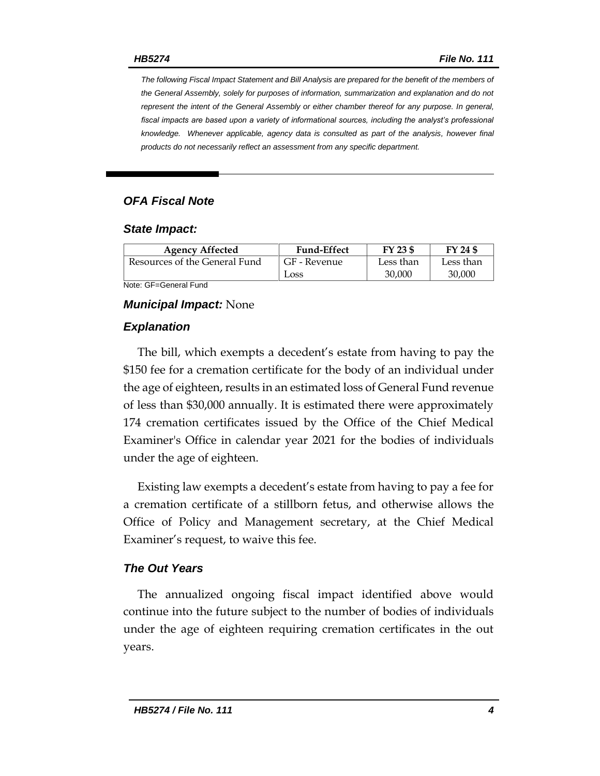*The following Fiscal Impact Statement and Bill Analysis are prepared for the benefit of the members of the General Assembly, solely for purposes of information, summarization and explanation and do not represent the intent of the General Assembly or either chamber thereof for any purpose. In general,*  fiscal impacts are based upon a variety of informational sources, including the analyst's professional *knowledge. Whenever applicable, agency data is consulted as part of the analysis, however final products do not necessarily reflect an assessment from any specific department.*

## *OFA Fiscal Note*

#### *State Impact:*

| <b>Agency Affected</b>        | <b>Fund-Effect</b> | FY 23 \$  | FY 24 \$  |
|-------------------------------|--------------------|-----------|-----------|
| Resources of the General Fund | GF - Revenue       | Less than | Less than |
|                               | Loss               | 30,000    | 30,000    |

Note: GF=General Fund

#### *Municipal Impact:* None

#### *Explanation*

The bill, which exempts a decedent's estate from having to pay the \$150 fee for a cremation certificate for the body of an individual under the age of eighteen, results in an estimated loss of General Fund revenue of less than \$30,000 annually. It is estimated there were approximately 174 cremation certificates issued by the Office of the Chief Medical Examiner's Office in calendar year 2021 for the bodies of individuals under the age of eighteen.

Existing law exempts a decedent's estate from having to pay a fee for a cremation certificate of a stillborn fetus, and otherwise allows the Office of Policy and Management secretary, at the Chief Medical Examiner's request, to waive this fee.

### *The Out Years*

The annualized ongoing fiscal impact identified above would continue into the future subject to the number of bodies of individuals under the age of eighteen requiring cremation certificates in the out years.